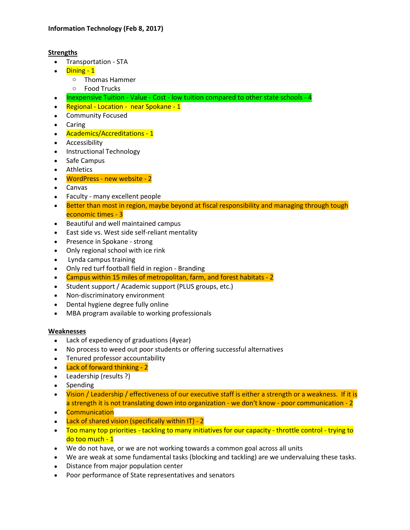## **Strengths**

- Transportation STA
- Dining 1
	- o Thomas Hammer
	- o Food Trucks
- Inexpensive Tuition Value Cost low tuition compared to other state schools 4
- Regional Location near Spokane 1
- Community Focused
- Caring
- Academics/Accreditations 1
- Accessibility
- Instructional Technology
- Safe Campus
- Athletics
- WordPress new website 2
- Canvas
- Faculty many excellent people
- Better than most in region, maybe beyond at fiscal responsibility and managing through tough economic times - 3
- Beautiful and well maintained campus
- East side vs. West side self-reliant mentality
- Presence in Spokane strong
- Only regional school with ice rink
- Lynda campus training
- Only red turf football field in region Branding
- Campus within 15 miles of metropolitan, farm, and forest habitats 2
- Student support / Academic support (PLUS groups, etc.)
- Non-discriminatory environment
- Dental hygiene degree fully online
- MBA program available to working professionals

#### **Weaknesses**

- Lack of expediency of graduations (4year)
- No process to weed out poor students or offering successful alternatives
- Tenured professor accountability
- Lack of forward thinking 2
- Leadership (results ?)
- Spending
- Vision / Leadership / effectiveness of our executive staff is either a strength or a weakness. If it is a strength it is not translating down into organization - we don't know - poor communication - 2
- **Communication**
- Lack of shared vision (specifically within IT) 2
- Too many top priorities tackling to many initiatives for our capacity throttle control trying to do too much - 1
- We do not have, or we are not working towards a common goal across all units
- We are weak at some fundamental tasks (blocking and tackling) are we undervaluing these tasks.
- Distance from major population center
- Poor performance of State representatives and senators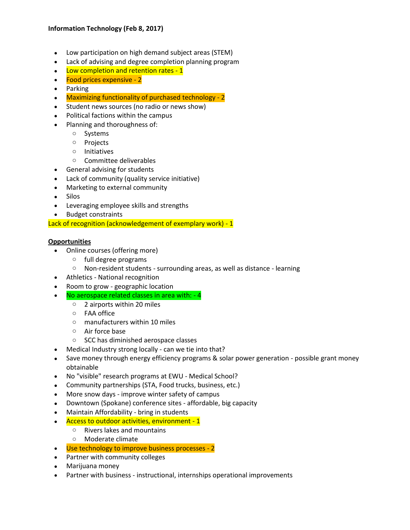# **Information Technology (Feb 8, 2017)**

- Low participation on high demand subject areas (STEM)
- Lack of advising and degree completion planning program
- Low completion and retention rates 1
- Food prices expensive 2
- Parking
- Maximizing functionality of purchased technology 2
- Student news sources (no radio or news show)
- Political factions within the campus
- Planning and thoroughness of:
	- o Systems
	- o Projects
	- o Initiatives
	- o Committee deliverables
- General advising for students
- Lack of community (quality service initiative)
- Marketing to external community
- Silos
- Leveraging employee skills and strengths
- Budget constraints

Lack of recognition (acknowledgement of exemplary work) - 1

#### **Opportunities**

- Online courses (offering more)
	- o full degree programs
	- o Non-resident students surrounding areas, as well as distance learning
- Athletics National recognition
- Room to grow geographic location
- No aerospace related classes in area with: 4
	- o 2 airports within 20 miles
	- o FAA office
	- o manufacturers within 10 miles
	- o Air force base
	- o SCC has diminished aerospace classes
- Medical Industry strong locally can we tie into that?
- Save money through energy efficiency programs & solar power generation possible grant money obtainable
- No "visible" research programs at EWU Medical School?
- Community partnerships (STA, Food trucks, business, etc.)
- More snow days improve winter safety of campus
- Downtown (Spokane) conference sites affordable, big capacity
- Maintain Affordability bring in students
- Access to outdoor activities, environment 1
	- o Rivers lakes and mountains
	- o Moderate climate
- Use technology to improve business processes 2
- Partner with community colleges
- Marijuana money
- Partner with business instructional, internships operational improvements